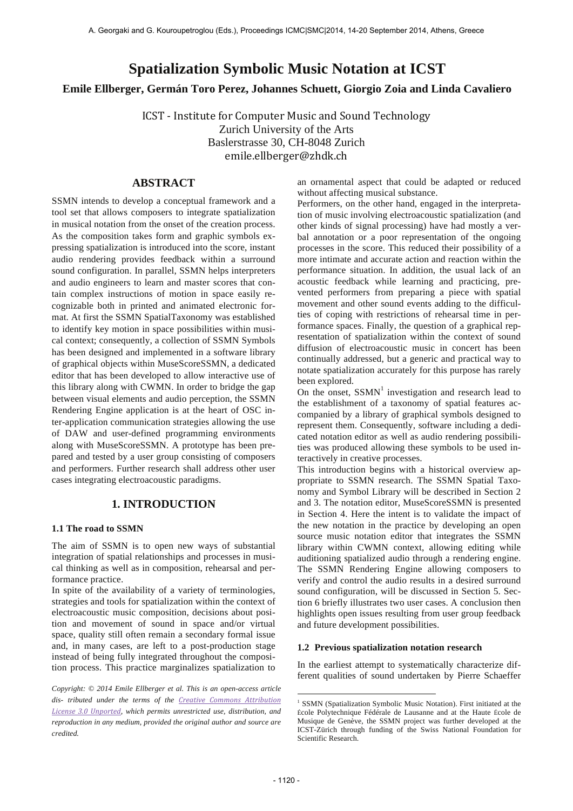# **Spatialization Symbolic Music Notation at ICST**

**Emile Ellberger, Germán Toro Perez, Johannes Schuett, Giorgio Zoia and Linda Cavaliero** 

ICST - Institute for Computer Music and Sound Technology Zurich University of the Arts Baslerstrasse 30, CH-8048 Zurich emile.ellberger@zhdk.ch

## **ABSTRACT**

SSMN intends to develop a conceptual framework and a tool set that allows composers to integrate spatialization in musical notation from the onset of the creation process. As the composition takes form and graphic symbols expressing spatialization is introduced into the score, instant audio rendering provides feedback within a surround sound configuration. In parallel, SSMN helps interpreters and audio engineers to learn and master scores that contain complex instructions of motion in space easily recognizable both in printed and animated electronic format. At first the SSMN SpatialTaxonomy was established to identify key motion in space possibilities within musical context; consequently, a collection of SSMN Symbols has been designed and implemented in a software library of graphical objects within MuseScoreSSMN, a dedicated editor that has been developed to allow interactive use of this library along with CWMN. In order to bridge the gap between visual elements and audio perception, the SSMN Rendering Engine application is at the heart of OSC inter-application communication strategies allowing the use of DAW and user-defined programming environments along with MuseScoreSSMN. A prototype has been prepared and tested by a user group consisting of composers and performers. Further research shall address other user cases integrating electroacoustic paradigms.

## **1. INTRODUCTION**

# **1.1 The road to SSMN**

The aim of SSMN is to open new ways of substantial integration of spatial relationships and processes in musical thinking as well as in composition, rehearsal and performance practice.

In spite of the availability of a variety of terminologies, strategies and tools for spatialization within the context of electroacoustic music composition, decisions about position and movement of sound in space and/or virtual space, quality still often remain a secondary formal issue and, in many cases, are left to a post-production stage instead of being fully integrated throughout the composition process. This practice marginalizes spatialization to

*Copyright: © 2014 Emile Ellberger et al. This is an open-access article*  dis- tributed under the terms of the *Creative Commons Attribution License 
3.0 
Unported, which permits unrestricted use, distribution, and reproduction in any medium, provided the original author and source are credited.*

an ornamental aspect that could be adapted or reduced without affecting musical substance.

Performers, on the other hand, engaged in the interpretation of music involving electroacoustic spatialization (and other kinds of signal processing) have had mostly a verbal annotation or a poor representation of the ongoing processes in the score. This reduced their possibility of a more intimate and accurate action and reaction within the performance situation. In addition, the usual lack of an acoustic feedback while learning and practicing, prevented performers from preparing a piece with spatial movement and other sound events adding to the difficulties of coping with restrictions of rehearsal time in performance spaces. Finally, the question of a graphical representation of spatialization within the context of sound diffusion of electroacoustic music in concert has been continually addressed, but a generic and practical way to notate spatialization accurately for this purpose has rarely been explored.

On the onset,  $SSMN<sup>1</sup>$  investigation and research lead to the establishment of a taxonomy of spatial features accompanied by a library of graphical symbols designed to represent them. Consequently, software including a dedicated notation editor as well as audio rendering possibilities was produced allowing these symbols to be used interactively in creative processes.

This introduction begins with a historical overview appropriate to SSMN research. The SSMN Spatial Taxonomy and Symbol Library will be described in Section 2 and 3. The notation editor, MuseScoreSSMN is presented in Section 4. Here the intent is to validate the impact of the new notation in the practice by developing an open source music notation editor that integrates the SSMN library within CWMN context, allowing editing while auditioning spatialized audio through a rendering engine. The SSMN Rendering Engine allowing composers to verify and control the audio results in a desired surround sound configuration, will be discussed in Section 5. Section 6 briefly illustrates two user cases. A conclusion then highlights open issues resulting from user group feedback and future development possibilities.

#### **1.2 Previous spatialization notation research**

In the earliest attempt to systematically characterize different qualities of sound undertaken by Pierre Schaeffer

 1 SSMN (Spatialization Symbolic Music Notation). First initiated at the École Polytechnique Fédérale de Lausanne and at the Haute École de Musique de Genève, the SSMN project was further developed at the ICST-Zürich through funding of the Swiss National Foundation for Scientific Research.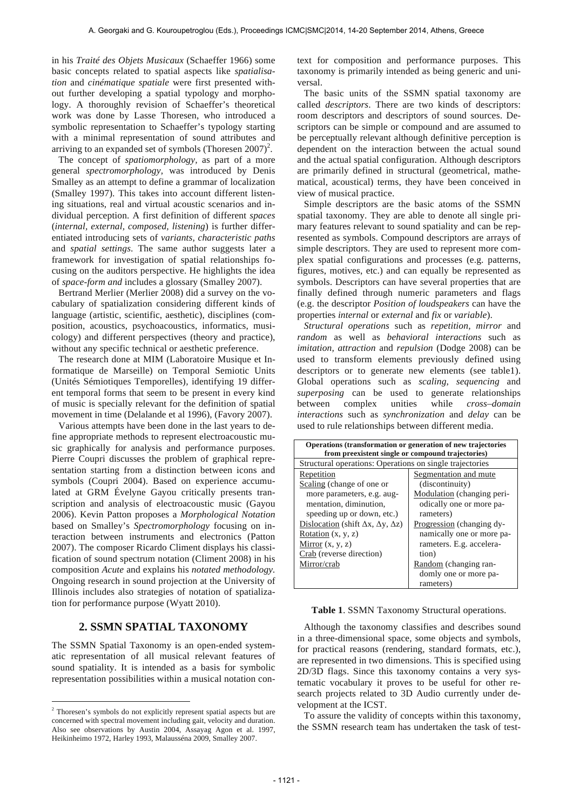in his *Traité des Objets Musicaux* (Schaeffer 1966) some basic concepts related to spatial aspects like *spatialisation* and *cinématique spatiale* were first presented without further developing a spatial typology and morphology. A thoroughly revision of Schaeffer's theoretical work was done by Lasse Thoresen, who introduced a symbolic representation to Schaeffer's typology starting with a minimal representation of sound attributes and arriving to an expanded set of symbols (Thoresen  $2007$ )<sup>2</sup>.

The concept of *spatiomorphology,* as part of a more general *spectromorphology,* was introduced by Denis Smalley as an attempt to define a grammar of localization (Smalley 1997). This takes into account different listening situations, real and virtual acoustic scenarios and individual perception. A first definition of different *spaces* (*internal, external, composed, listening*) is further differentiated introducing sets of *variants, characteristic paths* and *spatial settings*. The same author suggests later a framework for investigation of spatial relationships focusing on the auditors perspective. He highlights the idea of *space-form and* includes a glossary (Smalley 2007).

Bertrand Merlier (Merlier 2008) did a survey on the vocabulary of spatialization considering different kinds of language (artistic, scientific, aesthetic), disciplines (composition, acoustics, psychoacoustics, informatics, musicology) and different perspectives (theory and practice), without any specific technical or aesthetic preference.

The research done at MIM (Laboratoire Musique et Informatique de Marseille) on Temporal Semiotic Units (Unités Sémiotiques Temporelles)*,* identifying 19 different temporal forms that seem to be present in every kind of music is specially relevant for the definition of spatial movement in time (Delalande et al 1996), (Favory 2007).

Various attempts have been done in the last years to define appropriate methods to represent electroacoustic music graphically for analysis and performance purposes. Pierre Coupri discusses the problem of graphical representation starting from a distinction between icons and symbols (Coupri 2004). Based on experience accumulated at GRM Évelyne Gayou critically presents transcription and analysis of electroacoustic music (Gayou 2006). Kevin Patton proposes a *Morphological Notation*  based on Smalley's *Spectromorphology* focusing on interaction between instruments and electronics (Patton 2007). The composer Ricardo Climent displays his classification of sound spectrum notation (Climent 2008) in his composition *Acute* and explains his *notated methodology.*  Ongoing research in sound projection at the University of Illinois includes also strategies of notation of spatialization for performance purpose (Wyatt 2010).

## **2. SSMN SPATIAL TAXONOMY**

The SSMN Spatial Taxonomy is an open-ended systematic representation of all musical relevant features of sound spatiality. It is intended as a basis for symbolic representation possibilities within a musical notation con-

 $\overline{a}$ 

text for composition and performance purposes. This taxonomy is primarily intended as being generic and universal.

The basic units of the SSMN spatial taxonomy are called *descriptors*. There are two kinds of descriptors: room descriptors and descriptors of sound sources. Descriptors can be simple or compound and are assumed to be perceptually relevant although definitive perception is dependent on the interaction between the actual sound and the actual spatial configuration. Although descriptors are primarily defined in structural (geometrical, mathematical, acoustical) terms, they have been conceived in view of musical practice.

Simple descriptors are the basic atoms of the SSMN spatial taxonomy. They are able to denote all single primary features relevant to sound spatiality and can be represented as symbols. Compound descriptors are arrays of simple descriptors. They are used to represent more complex spatial configurations and processes (e.g. patterns, figures, motives, etc.) and can equally be represented as symbols. Descriptors can have several properties that are finally defined through numeric parameters and flags (e.g. the descriptor *Position of loudspeakers* can have the properties *internal* or *external* and *fix* or *variable*).

*Structural operations* such as *repetition, mirror* and *random* as well as *behavioral interactions* such as *imitation, attraction* and *repulsion* (Dodge 2008) can be used to transform elements previously defined using descriptors or to generate new elements (see table1). Global operations such as *scaling*, *sequencing* and *superposing* can be used to generate relationships between complex unities while *cross–domain interactions* such as *synchronization* and *delay* can be used to rule relationships between different media.

| Operations (transformation or generation of new trajectories<br>from preexistent single or compound trajectories) |                            |
|-------------------------------------------------------------------------------------------------------------------|----------------------------|
| Structural operations: Operations on single trajectories                                                          |                            |
| Repetition                                                                                                        | Segmentation and mute      |
| Scaling (change of one or                                                                                         | (discontinuity)            |
| more parameters, e.g. aug-                                                                                        | Modulation (changing peri- |
| mentation, diminution,                                                                                            | odically one or more pa-   |
| speeding up or down, etc.)                                                                                        | rameters)                  |
| Dislocation (shift $\Delta x$ , $\Delta y$ , $\Delta z$ )                                                         | Progression (changing dy-  |
| Rotation $(x, y, z)$                                                                                              | namically one or more pa-  |
| Mirror $(x, y, z)$                                                                                                | rameters. E.g. accelera-   |
| Crab (reverse direction)                                                                                          | tion)                      |
| Mirror/crab                                                                                                       | Random (changing ran-      |
|                                                                                                                   | domly one or more pa-      |
|                                                                                                                   | rameters)                  |

**Table 1**. SSMN Taxonomy Structural operations.

Although the taxonomy classifies and describes sound in a three-dimensional space, some objects and symbols, for practical reasons (rendering, standard formats, etc.), are represented in two dimensions. This is specified using 2D/3D flags. Since this taxonomy contains a very systematic vocabulary it proves to be useful for other research projects related to 3D Audio currently under development at the ICST.

To assure the validity of concepts within this taxonomy, the SSMN research team has undertaken the task of test-

<sup>2</sup> Thoresen's symbols do not explicitly represent spatial aspects but are concerned with spectral movement including gait, velocity and duration. Also see observations by Austin 2004, Assayag Agon et al. 1997, Heikinheimo 1972, Harley 1993, Malausséna 2009, Smalley 2007.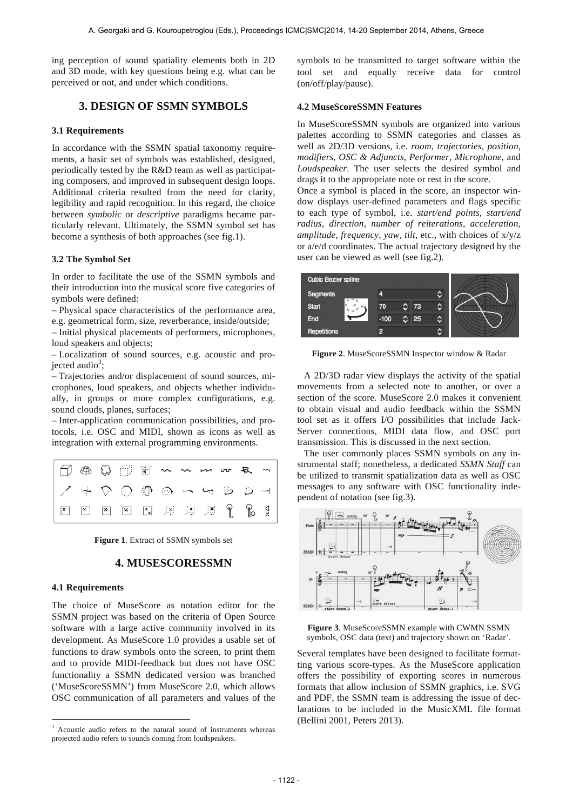ing perception of sound spatiality elements both in 2D and 3D mode, with key questions being e.g. what can be perceived or not, and under which conditions.

## **3. DESIGN OF SSMN SYMBOLS**

#### **3.1 Requirements**

In accordance with the SSMN spatial taxonomy requirements, a basic set of symbols was established, designed, periodically tested by the R&D team as well as participating composers, and improved in subsequent design loops. Additional criteria resulted from the need for clarity, legibility and rapid recognition. In this regard, the choice between *symbolic* or *descriptive* paradigms became particularly relevant. Ultimately, the SSMN symbol set has become a synthesis of both approaches (see fig.1).

#### **3.2 The Symbol Set**

In order to facilitate the use of the SSMN symbols and their introduction into the musical score five categories of symbols were defined:

– Physical space characteristics of the performance area, e.g. geometrical form, size, reverberance, inside/outside;

– Initial physical placements of performers, microphones, loud speakers and objects;

– Localization of sound sources, e.g. acoustic and projected audio<sup>3</sup>;

– Trajectories and/or displacement of sound sources, microphones, loud speakers, and objects whether individually, in groups or more complex configurations, e.g. sound clouds, planes, surfaces;

– Inter-application communication possibilities, and protocols, i.e. OSC and MIDI, shown as icons as well as integration with external programming environments.



**Figure 1**. Extract of SSMN symbols set

## **4. MUSESCORESSMN**

#### **4.1 Requirements**

 $\overline{a}$ 

The choice of MuseScore as notation editor for the SSMN project was based on the criteria of Open Source software with a large active community involved in its development. As MuseScore 1.0 provides a usable set of functions to draw symbols onto the screen, to print them and to provide MIDI-feedback but does not have OSC functionality a SSMN dedicated version was branched ('MuseScoreSSMN') from MuseScore 2.0, which allows OSC communication of all parameters and values of the

symbols to be transmitted to target software within the tool set and equally receive data for control (on/off/play/pause).

#### **4.2 MuseScoreSSMN Features**

In MuseScoreSSMN symbols are organized into various palettes according to SSMN categories and classes as well as 2D/3D versions, i.e. *room*, *trajectories*, *position*, *modifiers*, *OSC & Adjuncts*, *Performer*, *Microphone*, and *Loudspeaker*. The user selects the desired symbol and drags it to the appropriate note or rest in the score.

Once a symbol is placed in the score, an inspector window displays user-defined parameters and flags specific to each type of symbol, i.e. *start/end points, start/end radius, direction, number of reiterations, acceleration, amplitude, frequency, yaw, tilt*, etc., with choices of x/y/z or a/e/d coordinates. The actual trajectory designed by the user can be viewed as well (see fig.2).



**Figure 2**. MuseScoreSSMN Inspector window & Radar

A 2D/3D radar view displays the activity of the spatial movements from a selected note to another, or over a section of the score. MuseScore 2.0 makes it convenient to obtain visual and audio feedback within the SSMN tool set as it offers I/O possibilities that include Jack-Server connections, MIDI data flow, and OSC port transmission. This is discussed in the next section.

The user commonly places SSMN symbols on any instrumental staff; nonetheless, a dedicated *SSMN Staff* can be utilized to transmit spatialization data as well as OSC messages to any software with OSC functionality independent of notation (see fig.3).



**Figure 3**. MuseScoreSSMN example with CWMN SSMN symbols, OSC data (text) and trajectory shown on 'Radar'.

Several templates have been designed to facilitate formatting various score-types. As the MuseScore application offers the possibility of exporting scores in numerous formats that allow inclusion of SSMN graphics, i.e. SVG and PDF, the SSMN team is addressing the issue of declarations to be included in the MusicXML file format (Bellini 2001, Peters 2013).

<sup>3</sup> Acoustic audio refers to the natural sound of instruments whereas projected audio refers to sounds coming from loudspeakers.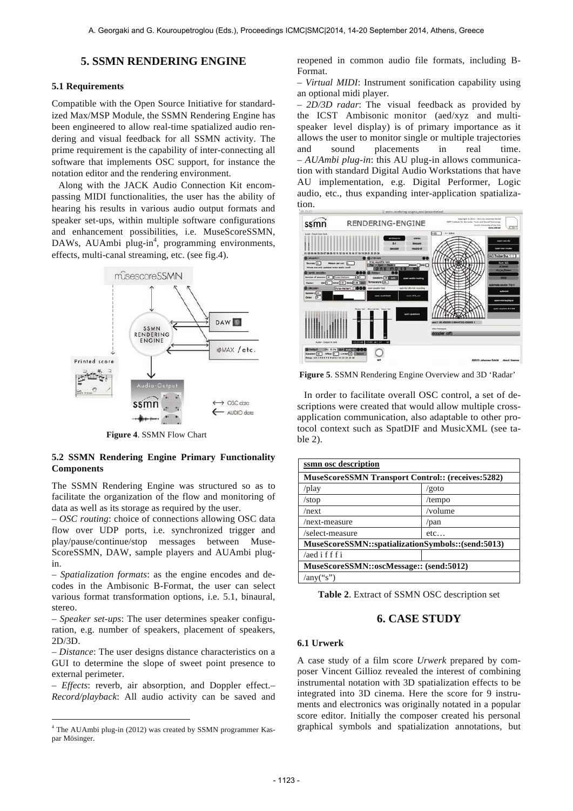## **5. SSMN RENDERING ENGINE**

#### **5.1 Requirements**

Compatible with the Open Source Initiative for standardized Max/MSP Module, the SSMN Rendering Engine has been engineered to allow real-time spatialized audio rendering and visual feedback for all SSMN activity. The prime requirement is the capability of inter-connecting all software that implements OSC support, for instance the notation editor and the rendering environment.

Along with the JACK Audio Connection Kit encompassing MIDI functionalities, the user has the ability of hearing his results in various audio output formats and speaker set-ups, within multiple software configurations and enhancement possibilities, i.e. MuseScoreSSMN, DAWs, AUAmbi plug-in<sup>4</sup>, programming environments, effects, multi-canal streaming, etc. (see fig.4).



**Figure 4**. SSMN Flow Chart

#### **5.2 SSMN Rendering Engine Primary Functionality Components**

The SSMN Rendering Engine was structured so as to facilitate the organization of the flow and monitoring of data as well as its storage as required by the user.

– *OSC routing*: choice of connections allowing OSC data flow over UDP ports, i.e. synchronized trigger and play/pause/continue/stop messages between Muse-ScoreSSMN, DAW, sample players and AUAmbi plugin.

– *Spatialization formats*: as the engine encodes and decodes in the Ambisonic B-Format, the user can select various format transformation options, i.e. 5.1, binaural, stereo.

– *Speaker set-ups*: The user determines speaker configuration, e.g. number of speakers, placement of speakers, 2D/3D.

– *Distance*: The user designs distance characteristics on a GUI to determine the slope of sweet point presence to external perimeter.

– *Effects*: reverb, air absorption, and Doppler effect.– *Record/playback*: All audio activity can be saved and

 $\overline{a}$ 

reopened in common audio file formats, including B-Format.

– *Virtual MIDI*: Instrument sonification capability using an optional midi player.

– *2D/3D radar*: The visual feedback as provided by the ICST Ambisonic monitor (aed/xyz and multispeaker level display) is of primary importance as it allows the user to monitor single or multiple trajectories and sound placements in real time. – *AUAmbi plug-in*: this AU plug-in allows communication with standard Digital Audio Workstations that have AU implementation, e.g. Digital Performer, Logic audio, etc., thus expanding inter-application spatialization.



**Figure 5**. SSMN Rendering Engine Overview and 3D 'Radar'

In order to facilitate overall OSC control, a set of descriptions were created that would allow multiple crossapplication communication, also adaptable to other protocol context such as SpatDIF and MusicXML (see table 2).

| ssmn osc description                                     |         |
|----------------------------------------------------------|---------|
| <b>MuseScoreSSMN Transport Control:: (receives:5282)</b> |         |
| /play                                                    | /goto   |
| /stop                                                    | /tempo  |
| $/$ next                                                 | /volume |
| /next-measure                                            | $/$ pan |
| /select-measure                                          | $etc.$  |
| MuseScoreSSMN::spatializationSymbols::(send:5013)        |         |
| $/$ aed ifffi                                            |         |
| MuseScoreSSMN::oscMessage:: (send:5012)                  |         |
| /any("s")                                                |         |

**Table 2**. Extract of SSMN OSC description set

# **6. CASE STUDY**

#### **6.1 Urwerk**

A case study of a film score *Urwerk* prepared by composer Vincent Gillioz revealed the interest of combining instrumental notation with 3D spatialization effects to be integrated into 3D cinema. Here the score for 9 instruments and electronics was originally notated in a popular score editor. Initially the composer created his personal graphical symbols and spatialization annotations, but

<sup>&</sup>lt;sup>4</sup> The AUAmbi plug-in (2012) was created by SSMN programmer Kaspar Mösinger.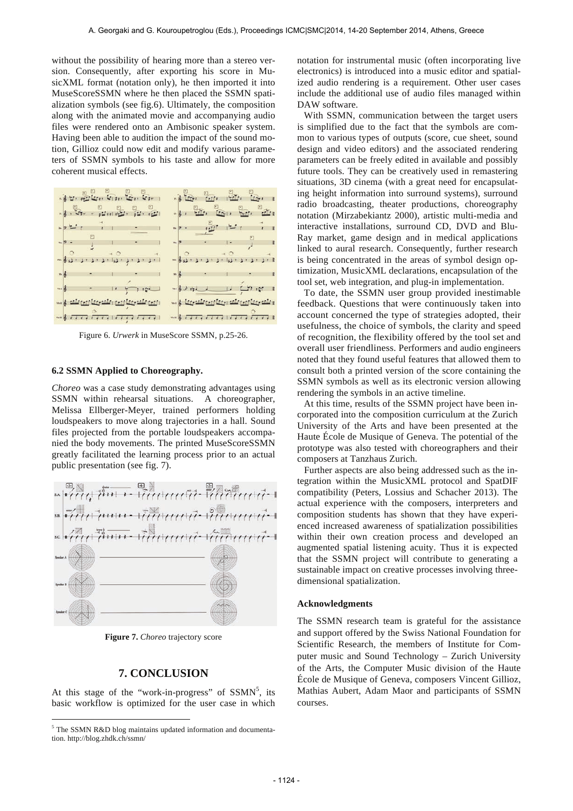without the possibility of hearing more than a stereo version. Consequently, after exporting his score in MusicXML format (notation only), he then imported it into MuseScoreSSMN where he then placed the SSMN spatialization symbols (see fig.6). Ultimately, the composition along with the animated movie and accompanying audio files were rendered onto an Ambisonic speaker system. Having been able to audition the impact of the sound motion, Gillioz could now edit and modify various parameters of SSMN symbols to his taste and allow for more coherent musical effects.



Figure 6. *Urwerk* in MuseScore SSMN, p.25-26.

#### **6.2 SSMN Applied to Choreography.**

*Choreo* was a case study demonstrating advantages using SSMN within rehearsal situations. A choreographer, Melissa Ellberger-Meyer, trained performers holding loudspeakers to move along trajectories in a hall. Sound files projected from the portable loudspeakers accompanied the body movements. The printed MuseScoreSSMN greatly facilitated the learning process prior to an actual public presentation (see fig. 7).



**Figure 7.** *Choreo* trajectory score

## **7. CONCLUSION**

At this stage of the "work-in-progress" of  $SSMN^5$ , its basic workflow is optimized for the user case in which

 $\overline{a}$ 

notation for instrumental music (often incorporating live electronics) is introduced into a music editor and spatialized audio rendering is a requirement. Other user cases include the additional use of audio files managed within DAW software.

With SSMN, communication between the target users is simplified due to the fact that the symbols are common to various types of outputs (score, cue sheet, sound design and video editors) and the associated rendering parameters can be freely edited in available and possibly future tools. They can be creatively used in remastering situations, 3D cinema (with a great need for encapsulating height information into surround systems), surround radio broadcasting, theater productions, choreography notation (Mirzabekiantz 2000), artistic multi-media and interactive installations, surround CD, DVD and Blu-Ray market, game design and in medical applications linked to aural research. Consequently, further research is being concentrated in the areas of symbol design optimization, MusicXML declarations, encapsulation of the tool set, web integration, and plug-in implementation.

To date, the SSMN user group provided inestimable feedback. Questions that were continuously taken into account concerned the type of strategies adopted, their usefulness, the choice of symbols, the clarity and speed of recognition, the flexibility offered by the tool set and overall user friendliness. Performers and audio engineers noted that they found useful features that allowed them to consult both a printed version of the score containing the SSMN symbols as well as its electronic version allowing rendering the symbols in an active timeline.

At this time, results of the SSMN project have been incorporated into the composition curriculum at the Zurich University of the Arts and have been presented at the Haute École de Musique of Geneva. The potential of the prototype was also tested with choreographers and their composers at Tanzhaus Zurich.

Further aspects are also being addressed such as the integration within the MusicXML protocol and SpatDIF compatibility (Peters, Lossius and Schacher 2013). The actual experience with the composers, interpreters and composition students has shown that they have experienced increased awareness of spatialization possibilities within their own creation process and developed an augmented spatial listening acuity. Thus it is expected that the SSMN project will contribute to generating a sustainable impact on creative processes involving threedimensional spatialization.

#### **Acknowledgments**

The SSMN research team is grateful for the assistance and support offered by the Swiss National Foundation for Scientific Research, the members of Institute for Computer music and Sound Technology – Zurich University of the Arts, the Computer Music division of the Haute École de Musique of Geneva, composers Vincent Gillioz, Mathias Aubert, Adam Maor and participants of SSMN courses.

<sup>&</sup>lt;sup>5</sup> The SSMN R&D blog maintains updated information and documentation. http://blog.zhdk.ch/ssmn/